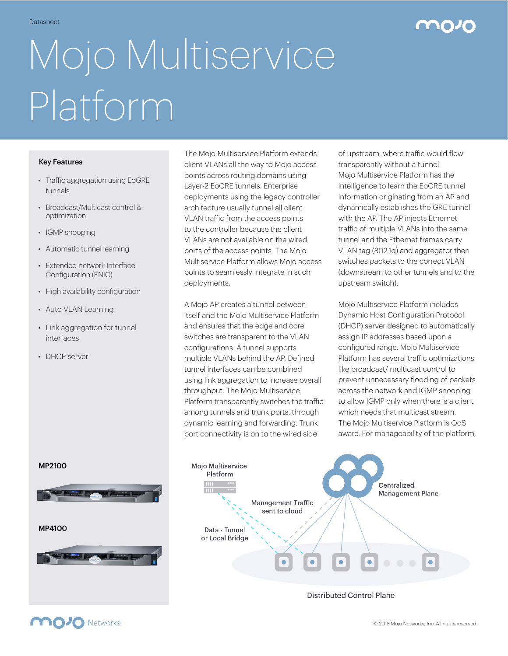## Datasheet **1989 - 1989 - 1989 - 1989 - 1989 - 1989 - 1989 - 1989 - 1989 - 1989 - 1989 - 1989 - 1989 - 1989 - 198**

# Mojo Multiservice Platform

#### Key Features

- Traffic aggregation using EoGRE tunnels
- Broadcast/Multicast control & optimization
- IGMP snooping
- Automatic tunnel learning
- Extended network Interface Configuration (ENIC)
- High availability configuration
- Auto VLAN Learning
- Link aggregation for tunnel interfaces
- DHCP server

The Mojo Multiservice Platform extends client VLANs all the way to Mojo access points across routing domains using Layer-2 EoGRE tunnels. Enterprise deployments using the legacy controller architecture usually tunnel all client VLAN traffic from the access points to the controller because the client VLANs are not available on the wired ports of the access points. The Mojo Multiservice Platform allows Mojo access points to seamlessly integrate in such deployments.

A Mojo AP creates a tunnel between itself and the Mojo Multiservice Platform and ensures that the edge and core switches are transparent to the VLAN configurations. A tunnel supports multiple VLANs behind the AP. Defined tunnel interfaces can be combined using link aggregation to increase overall throughput. The Mojo Multiservice Platform transparently switches the traffic among tunnels and trunk ports, through dynamic learning and forwarding. Trunk port connectivity is on to the wired side

of upstream, where traffic would flow transparently without a tunnel. Mojo Multiservice Platform has the intelligence to learn the EoGRE tunnel information originating from an AP and dynamically establishes the GRE tunnel with the AP. The AP injects Ethernet traffic of multiple VLANs into the same tunnel and the Ethernet frames carry VLAN tag (802.1q) and aggregator then switches packets to the correct VLAN (downstream to other tunnels and to the upstream switch).

Mojo Multiservice Platform includes Dynamic Host Configuration Protocol (DHCP) server designed to automatically assign IP addresses based upon a configured range. Mojo Multiservice Platform has several traffic optimizations like broadcast/ multicast control to prevent unnecessary flooding of packets across the network and IGMP snooping to allow IGMP only when there is a client which needs that multicast stream. The Mojo Multiservice Platform is QoS aware. For manageability of the platform,



**Distributed Control Plane** 

### MP4100

MP2100

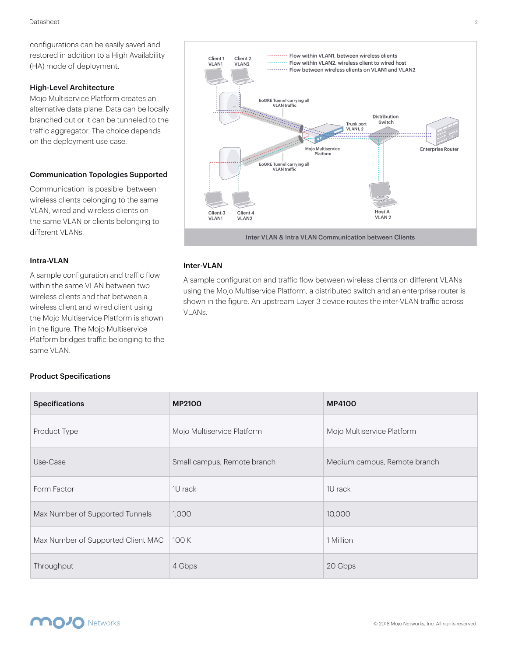configurations can be easily saved and restored in addition to a High Availability (HA) mode of deployment.

#### High-Level Architecture

Mojo Multiservice Platform creates an alternative data plane. Data can be locally branched out or it can be tunneled to the traffic aggregator. The choice depends on the deployment use case.

#### Communication Topologies Supported

Communication is possible between wireless clients belonging to the same VLAN, wired and wireless clients on the same VLAN or clients belonging to different VLANs.

#### Intra-VLAN

A sample configuration and traffic flow within the same VLAN between two wireless clients and that between a wireless client and wired client using the Mojo Multiservice Platform is shown in the figure. The Mojo Multiservice Platform bridges traffic belonging to the same VLAN.



#### Inter-VLAN

A sample configuration and traffic flow between wireless clients on different VLANs using the Mojo Multiservice Platform, a distributed switch and an enterprise router is shown in the figure. An upstream Layer 3 device routes the inter-VLAN traffic across VLANs.

#### Product Specifications

| <b>Specifications</b>              | <b>MP2100</b>               | <b>MP4100</b>                |
|------------------------------------|-----------------------------|------------------------------|
| Product Type                       | Mojo Multiservice Platform  | Mojo Multiservice Platform   |
| Use-Case                           | Small campus, Remote branch | Medium campus, Remote branch |
| Form Factor                        | 1U rack                     | 1U rack                      |
| Max Number of Supported Tunnels    | 1,000                       | 10,000                       |
| Max Number of Supported Client MAC | 100 K                       | 1 Million                    |
| Throughput                         | 4 Gbps                      | 20 Gbps                      |